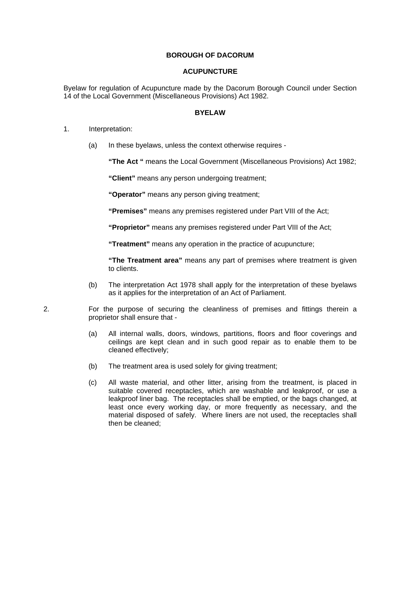## **BOROUGH OF DACORUM**

## **ACUPUNCTURE**

Byelaw for regulation of Acupuncture made by the Dacorum Borough Council under Section 14 of the Local Government (Miscellaneous Provisions) Act 1982.

## **BYELAW**

- 1. Interpretation:
	- (a) In these byelaws, unless the context otherwise requires -

**"The Act "** means the Local Government (Miscellaneous Provisions) Act 1982;

**"Client"** means any person undergoing treatment;

**"Operator"** means any person giving treatment;

**"Premises"** means any premises registered under Part VIII of the Act;

**"Proprietor"** means any premises registered under Part VIII of the Act;

**"Treatment"** means any operation in the practice of acupuncture;

**"The Treatment area"** means any part of premises where treatment is given to clients.

(b) The interpretation Act 1978 shall apply for the interpretation of these byelaws as it applies for the interpretation of an Act of Parliament.

2. For the purpose of securing the cleanliness of premises and fittings therein a proprietor shall ensure that -

- (a) All internal walls, doors, windows, partitions, floors and floor coverings and ceilings are kept clean and in such good repair as to enable them to be cleaned effectively;
- (b) The treatment area is used solely for giving treatment;
- (c) All waste material, and other litter, arising from the treatment, is placed in suitable covered receptacles, which are washable and leakproof, or use a leakproof liner bag. The receptacles shall be emptied, or the bags changed, at least once every working day, or more frequently as necessary, and the material disposed of safely. Where liners are not used, the receptacles shall then be cleaned;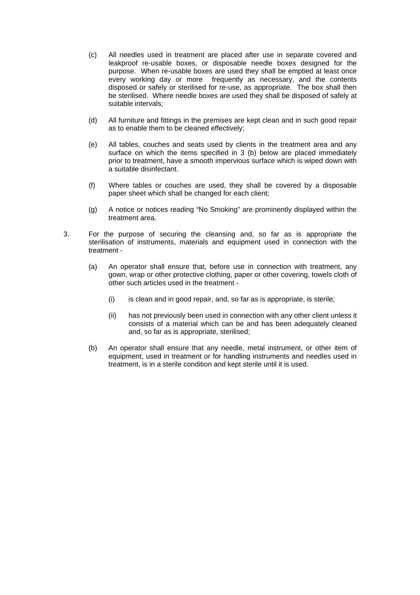- (c) All needles used in treatment are placed after use in separate covered and leakproof re-usable boxes, or disposable needle boxes designed for the purpose. When re-usable boxes are used they shall be emptied at least once every working day or more frequently as necessary, and the contents disposed or safely or sterilised for re-use, as appropriate. The box shall then be sterilised. Where needle boxes are used they shall be disposed of safely at suitable intervals;
- (d) All furniture and fittings in the premises are kept clean and in such good repair as to enable them to be cleaned effectively;
- (e) All tables, couches and seats used by clients in the treatment area and any surface on which the items specified in 3 (b) below are placed immediately prior to treatment, have a smooth impervious surface which is wiped down with a suitable disinfectant.
- (f) Where tables or couches are used, they shall be covered by a disposable paper sheet which shall be changed for each client;
- (g) A notice or notices reading "No Smoking" are prominently displayed within the treatment area.
- 3. For the purpose of securing the cleansing and, so far as is appropriate the sterilisation of instruments, materials and equipment used in connection with the treatment -
	- (a) An operator shall ensure that, before use in connection with treatment, any gown, wrap or other protective clothing, paper or other covering, towels cloth of other such articles used in the treatment -
		- (i) is clean and in good repair, and, so far as is appropriate, is sterile;
		- (ii) has not previously been used in connection with any other client unless it consists of a material which can be and has been adequately cleaned and, so far as is appropriate, sterilised;
	- (b) An operator shall ensure that any needle, metal instrument, or other item of equipment, used in treatment or for handling instruments and needles used in treatment, is in a sterile condition and kept sterile until it is used.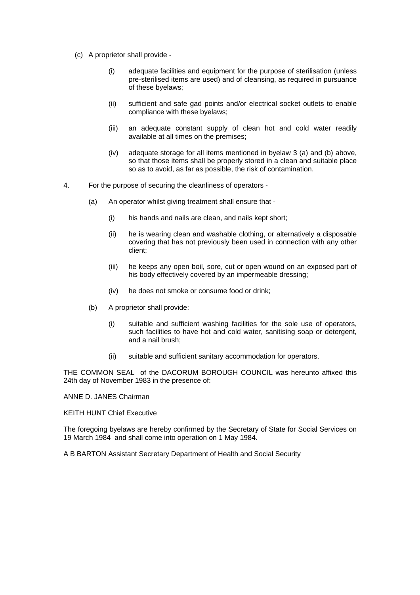- (c) A proprietor shall provide
	- (i) adequate facilities and equipment for the purpose of sterilisation (unless pre-sterilised items are used) and of cleansing, as required in pursuance of these byelaws;
	- (ii) sufficient and safe gad points and/or electrical socket outlets to enable compliance with these byelaws;
	- (iii) an adequate constant supply of clean hot and cold water readily available at all times on the premises;
	- (iv) adequate storage for all items mentioned in byelaw 3 (a) and (b) above, so that those items shall be properly stored in a clean and suitable place so as to avoid, as far as possible, the risk of contamination.
- 4. For the purpose of securing the cleanliness of operators
	- (a) An operator whilst giving treatment shall ensure that
		- (i) his hands and nails are clean, and nails kept short;
		- (ii) he is wearing clean and washable clothing, or alternatively a disposable covering that has not previously been used in connection with any other client;
		- (iii) he keeps any open boil, sore, cut or open wound on an exposed part of his body effectively covered by an impermeable dressing;
		- (iv) he does not smoke or consume food or drink;
	- (b) A proprietor shall provide:
		- (i) suitable and sufficient washing facilities for the sole use of operators, such facilities to have hot and cold water, sanitising soap or detergent, and a nail brush;
		- (ii) suitable and sufficient sanitary accommodation for operators.

THE COMMON SEAL of the DACORUM BOROUGH COUNCIL was hereunto affixed this 24th day of November 1983 in the presence of:

ANNE D. JANES Chairman

KEITH HUNT Chief Executive

The foregoing byelaws are hereby confirmed by the Secretary of State for Social Services on 19 March 1984 and shall come into operation on 1 May 1984.

A B BARTON Assistant Secretary Department of Health and Social Security